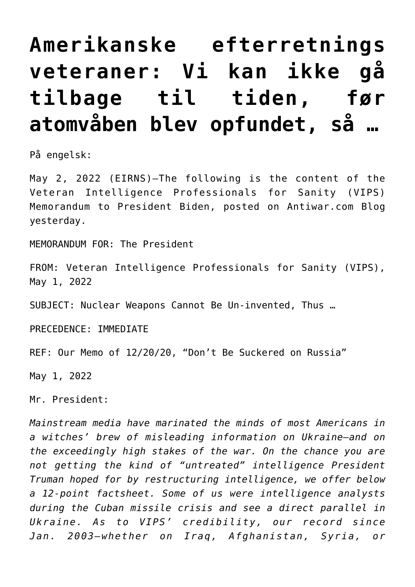## **[Amerikanske efterretnings](https://schillerinstitut.dk/si/2022/05/amerikanske-efterretnings-veteraner-vi-kan-ikke-gaa-tilbage-til-tiden-foer-atomvaaben-blev-opfundet/) [veteraner: Vi kan ikke gå](https://schillerinstitut.dk/si/2022/05/amerikanske-efterretnings-veteraner-vi-kan-ikke-gaa-tilbage-til-tiden-foer-atomvaaben-blev-opfundet/) [tilbage til tiden, før](https://schillerinstitut.dk/si/2022/05/amerikanske-efterretnings-veteraner-vi-kan-ikke-gaa-tilbage-til-tiden-foer-atomvaaben-blev-opfundet/) [atomvåben blev opfundet, så …](https://schillerinstitut.dk/si/2022/05/amerikanske-efterretnings-veteraner-vi-kan-ikke-gaa-tilbage-til-tiden-foer-atomvaaben-blev-opfundet/)**

På engelsk:

May 2, 2022 (EIRNS)—The following is the content of the Veteran Intelligence Professionals for Sanity (VIPS) Memorandum to President Biden, posted on [Antiwar.com Blog](https://www.antiwar.com/blog/2022/05/01/intel-vets-nuclear-weapons-cannot-be-un-invented/) yesterday.

MEMORANDUM FOR: The President

FROM: Veteran Intelligence Professionals for Sanity (VIPS), May 1, 2022

SUBJECT: Nuclear Weapons Cannot Be Un-invented, Thus …

PRECEDENCE: IMMEDIATE

REF: Our Memo of 12/20/20, "Don't Be Suckered on Russia"

May 1, 2022

Mr. President:

*Mainstream media have marinated the minds of most Americans in a witches' brew of misleading information on Ukraine—and on the exceedingly high stakes of the war. On the chance you are not getting the kind of "untreated" intelligence President Truman hoped for by restructuring intelligence, we offer below a 12-point factsheet. Some of us were intelligence analysts during the Cuban missile crisis and see a direct parallel in Ukraine. As to VIPS' credibility, our record since Jan. 2003—whether on Iraq, Afghanistan, Syria, or*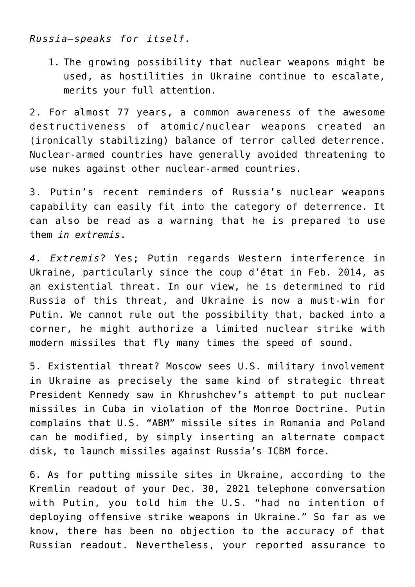*Russia—speaks for itself.*

1. The growing possibility that nuclear weapons might be used, as hostilities in Ukraine continue to escalate, merits your full attention.

2. For almost 77 years, a common awareness of the awesome destructiveness of atomic/nuclear weapons created an (ironically stabilizing) balance of terror called deterrence. Nuclear-armed countries have generally avoided threatening to use nukes against other nuclear-armed countries.

3. Putin's recent reminders of Russia's nuclear weapons capability can easily fit into the category of deterrence. It can also be read as a warning that he is prepared to use them *in extremis*.

*4. Extremis*? Yes; Putin regards Western interference in Ukraine, particularly since the coup d'état in Feb. 2014, as an existential threat. In our view, he is determined to rid Russia of this threat, and Ukraine is now a must-win for Putin. We cannot rule out the possibility that, backed into a corner, he might authorize a limited nuclear strike with modern missiles that fly many times the speed of sound.

5. Existential threat? Moscow sees U.S. military involvement in Ukraine as precisely the same kind of strategic threat President Kennedy saw in Khrushchev's attempt to put nuclear missiles in Cuba in violation of the Monroe Doctrine. Putin complains that U.S. "ABM" missile sites in Romania and Poland can be modified, by simply inserting an alternate compact disk, to launch missiles against Russia's ICBM force.

6. As for putting missile sites in Ukraine, according to the Kremlin readout of your Dec. 30, 2021 telephone conversation with Putin, you told him the U.S. "had no intention of deploying offensive strike weapons in Ukraine." So far as we know, there has been no objection to the accuracy of that Russian readout. Nevertheless, your reported assurance to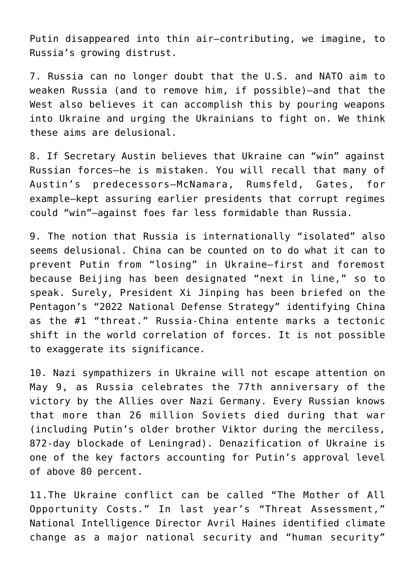Putin disappeared into thin air—contributing, we imagine, to Russia's growing distrust.

7. Russia can no longer doubt that the U.S. and NATO aim to weaken Russia (and to remove him, if possible)—and that the West also believes it can accomplish this by pouring weapons into Ukraine and urging the Ukrainians to fight on. We think these aims are delusional.

8. If Secretary Austin believes that Ukraine can "win" against Russian forces—he is mistaken. You will recall that many of Austin's predecessors—McNamara, Rumsfeld, Gates, for example—kept assuring earlier presidents that corrupt regimes could "win"—against foes far less formidable than Russia.

9. The notion that Russia is internationally "isolated" also seems delusional. China can be counted on to do what it can to prevent Putin from "losing" in Ukraine—first and foremost because Beijing has been designated "next in line," so to speak. Surely, President Xi Jinping has been briefed on the Pentagon's "2022 National Defense Strategy" identifying China as the #1 "threat." Russia-China entente marks a tectonic shift in the world correlation of forces. It is not possible to exaggerate its significance.

10. Nazi sympathizers in Ukraine will not escape attention on May 9, as Russia celebrates the 77th anniversary of the victory by the Allies over Nazi Germany. Every Russian knows that more than 26 million Soviets died during that war (including Putin's older brother Viktor during the merciless, 872-day blockade of Leningrad). Denazification of Ukraine is one of the key factors accounting for Putin's approval level of above 80 percent.

11.The Ukraine conflict can be called "The Mother of All Opportunity Costs." In last year's "Threat Assessment," National Intelligence Director Avril Haines identified climate change as a major national security and "human security"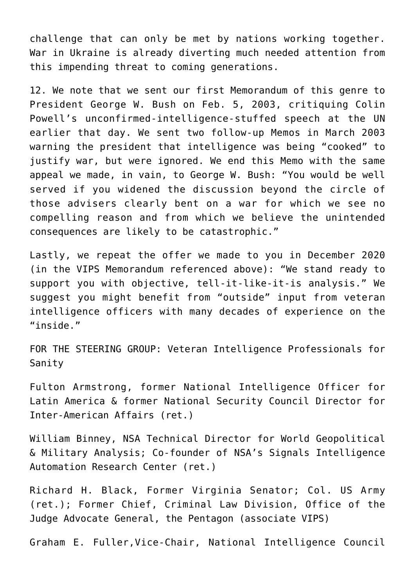challenge that can only be met by nations working together. War in Ukraine is already diverting much needed attention from this impending threat to coming generations.

12. We note that we sent our first Memorandum of this genre to President George W. Bush on Feb. 5, 2003, critiquing Colin Powell's unconfirmed-intelligence-stuffed speech at the UN earlier that day. We sent two follow-up Memos in March 2003 warning the president that intelligence was being "cooked" to justify war, but were ignored. We end this Memo with the same appeal we made, in vain, to George W. Bush: "You would be well served if you widened the discussion beyond the circle of those advisers clearly bent on a war for which we see no compelling reason and from which we believe the unintended consequences are likely to be catastrophic."

Lastly, we repeat the offer we made to you in December 2020 (in the VIPS Memorandum referenced above): "We stand ready to support you with objective, tell-it-like-it-is analysis." We suggest you might benefit from "outside" input from veteran intelligence officers with many decades of experience on the "inside."

FOR THE STEERING GROUP: Veteran Intelligence Professionals for Sanity

Fulton Armstrong, former National Intelligence Officer for Latin America & former National Security Council Director for Inter-American Affairs (ret.)

William Binney, NSA Technical Director for World Geopolitical & Military Analysis; Co-founder of NSA's Signals Intelligence Automation Research Center (ret.)

Richard H. Black, Former Virginia Senator; Col. US Army (ret.); Former Chief, Criminal Law Division, Office of the Judge Advocate General, the Pentagon (associate VIPS)

Graham E. Fuller,Vice-Chair, National Intelligence Council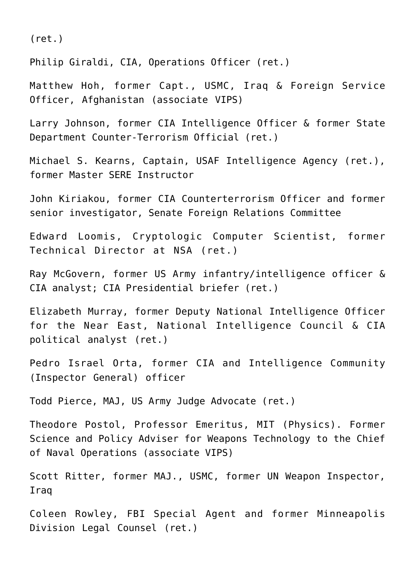(ret.)

Philip Giraldi, CIA, Operations Officer (ret.)

Matthew Hoh, former Capt., USMC, Iraq & Foreign Service Officer, Afghanistan (associate VIPS)

Larry Johnson, former CIA Intelligence Officer & former State Department Counter-Terrorism Official (ret.)

Michael S. Kearns, Captain, USAF Intelligence Agency (ret.), former Master SERE Instructor

John Kiriakou, former CIA Counterterrorism Officer and former senior investigator, Senate Foreign Relations Committee

Edward Loomis, Cryptologic Computer Scientist, former Technical Director at NSA (ret.)

Ray McGovern, former US Army infantry/intelligence officer & CIA analyst; CIA Presidential briefer (ret.)

Elizabeth Murray, former Deputy National Intelligence Officer for the Near East, National Intelligence Council & CIA political analyst (ret.)

Pedro Israel Orta, former CIA and Intelligence Community (Inspector General) officer

Todd Pierce, MAJ, US Army Judge Advocate (ret.)

Theodore Postol, Professor Emeritus, MIT (Physics). Former Science and Policy Adviser for Weapons Technology to the Chief of Naval Operations (associate VIPS)

Scott Ritter, former MAJ., USMC, former UN Weapon Inspector, Iraq

Coleen Rowley, FBI Special Agent and former Minneapolis Division Legal Counsel (ret.)